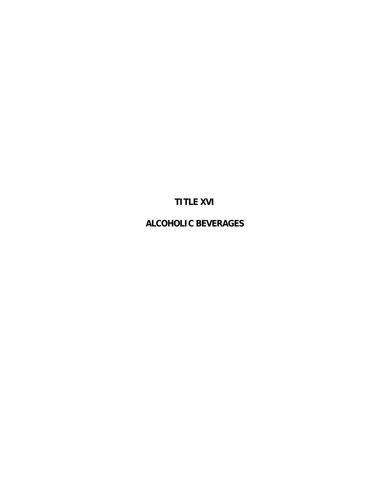# **TITLE XVI**

**ALCOHOLIC BEVERAGES**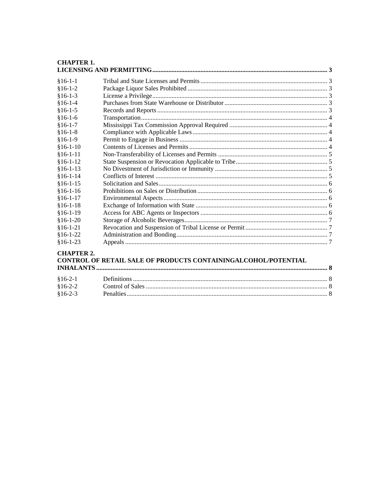| <b>CHAPTER 1.</b> |                                                                |  |
|-------------------|----------------------------------------------------------------|--|
| $§16-1-1$         |                                                                |  |
| $$16-1-2$         |                                                                |  |
| $$16-1-3$         |                                                                |  |
| $$16-1-4$         |                                                                |  |
| $$16-1-5$         |                                                                |  |
| $$16-1-6$         |                                                                |  |
| $$16-1-7$         |                                                                |  |
| $$16-1-8$         |                                                                |  |
| $$16-1-9$         |                                                                |  |
| $$16-1-10$        |                                                                |  |
| $§16-1-11$        |                                                                |  |
| $$16-1-12$        |                                                                |  |
| $§16-1-13$        |                                                                |  |
| $$16-1-14$        |                                                                |  |
| $$16-1-15$        |                                                                |  |
| $$16-1-16$        |                                                                |  |
| $§16-1-17$        |                                                                |  |
| $$16-1-18$        |                                                                |  |
| $§16-1-19$        |                                                                |  |
| $$16-1-20$        |                                                                |  |
| $$16-1-21$        |                                                                |  |
| $$16-1-22$        |                                                                |  |
| $$16-1-23$        |                                                                |  |
| <b>CHAPTER 2.</b> | CONTROL OF RETAIL SALE OF PRODUCTS CONTAININGALCOHOL/POTENTIAL |  |
| $$16-2-1$         |                                                                |  |
| $$16-2-2$         |                                                                |  |

 $$16-2-3$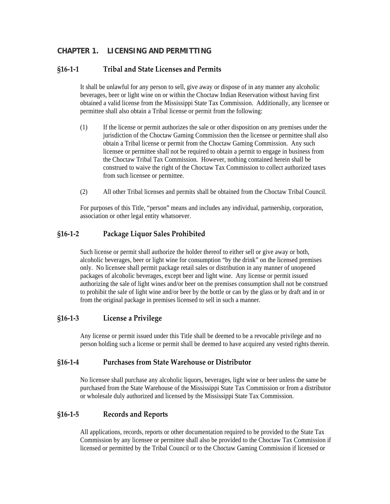## <span id="page-2-0"></span>**CHAPTER 1. LICENSING AND PERMITTING**

#### **§16‐1‐1 Tribal and State Licenses and Permits**

It shall be unlawful for any person to sell, give away or dispose of in any manner any alcoholic beverages, beer or light wine on or within the Choctaw Indian Reservation without having first obtained a valid license from the Mississippi State Tax Commission. Additionally, any licensee or permittee shall also obtain a Tribal license or permit from the following:

- (1) If the license or permit authorizes the sale or other disposition on any premises under the jurisdiction of the Choctaw Gaming Commission then the licensee or permittee shall also obtain a Tribal license or permit from the Choctaw Gaming Commission. Any such licensee or permittee shall not be required to obtain a permit to engage in business from the Choctaw Tribal Tax Commission. However, nothing contained herein shall be construed to waive the right of the Choctaw Tax Commission to collect authorized taxes from such licensee or permittee.
- (2) All other Tribal licenses and permits shall be obtained from the Choctaw Tribal Council.

For purposes of this Title, "person" means and includes any individual, partnership, corporation, association or other legal entity whatsoever.

#### **§16‐1‐2 Package Liquor Sales Prohibited**

Such license or permit shall authorize the holder thereof to either sell or give away or both, alcoholic beverages, beer or light wine for consumption "by the drink" on the licensed premises only. No licensee shall permit package retail sales or distribution in any manner of unopened packages of alcoholic beverages, except beer and light wine. Any license or permit issued authorizing the sale of light wines and/or beer on the premises consumption shall not be construed to prohibit the sale of light wine and/or beer by the bottle or can by the glass or by draft and in or from the original package in premises licensed to sell in such a manner.

#### **§16‐1‐3 License a Privilege**

Any license or permit issued under this Title shall be deemed to be a revocable privilege and no person holding such a license or permit shall be deemed to have acquired any vested rights therein.

#### **§16‐1‐4 Purchases from State Warehouse or Distributor**

No licensee shall purchase any alcoholic liquors, beverages, light wine or beer unless the same be purchased from the State Warehouse of the Mississippi State Tax Commission or from a distributor or wholesale duly authorized and licensed by the Mississippi State Tax Commission.

#### **§16‐1‐5 Records and Reports**

All applications, records, reports or other documentation required to be provided to the State Tax Commission by any licensee or permittee shall also be provided to the Choctaw Tax Commission if licensed or permitted by the Tribal Council or to the Choctaw Gaming Commission if licensed or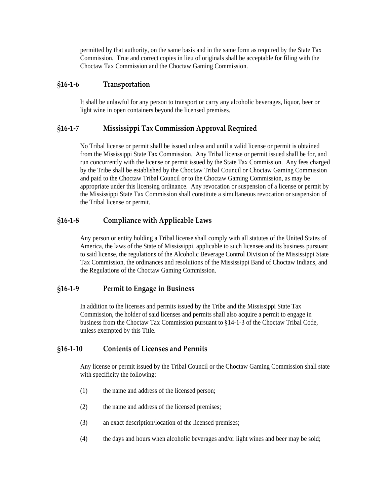<span id="page-3-0"></span>permitted by that authority, on the same basis and in the same form as required by the State Tax Commission. True and correct copies in lieu of originals shall be acceptable for filing with the Choctaw Tax Commission and the Choctaw Gaming Commission.

#### **§16‐1‐6 Transportation**

It shall be unlawful for any person to transport or carry any alcoholic beverages, liquor, beer or light wine in open containers beyond the licensed premises.

## **§16‐1‐7 Mississippi Tax Commission Approval Required**

No Tribal license or permit shall be issued unless and until a valid license or permit is obtained from the Mississippi State Tax Commission. Any Tribal license or permit issued shall be for, and run concurrently with the license or permit issued by the State Tax Commission. Any fees charged by the Tribe shall be established by the Choctaw Tribal Council or Choctaw Gaming Commission and paid to the Choctaw Tribal Council or to the Choctaw Gaming Commission, as may be appropriate under this licensing ordinance. Any revocation or suspension of a license or permit by the Mississippi State Tax Commission shall constitute a simultaneous revocation or suspension of the Tribal license or permit.

# **§16‐1‐8 Compliance with Applicable Laws**

Any person or entity holding a Tribal license shall comply with all statutes of the United States of America, the laws of the State of Mississippi, applicable to such licensee and its business pursuant to said license, the regulations of the Alcoholic Beverage Control Division of the Mississippi State Tax Commission, the ordinances and resolutions of the Mississippi Band of Choctaw Indians, and the Regulations of the Choctaw Gaming Commission.

## **§16‐1‐9 Permit to Engage in Business**

In addition to the licenses and permits issued by the Tribe and the Mississippi State Tax Commission, the holder of said licenses and permits shall also acquire a permit to engage in business from the Choctaw Tax Commission pursuant to §14-1-3 of the Choctaw Tribal Code, unless exempted by this Title.

## **§16‐1‐10 Contents of Licenses and Permits**

Any license or permit issued by the Tribal Council or the Choctaw Gaming Commission shall state with specificity the following:

- (1) the name and address of the licensed person;
- (2) the name and address of the licensed premises;
- (3) an exact description/location of the licensed premises;
- (4) the days and hours when alcoholic beverages and/or light wines and beer may be sold;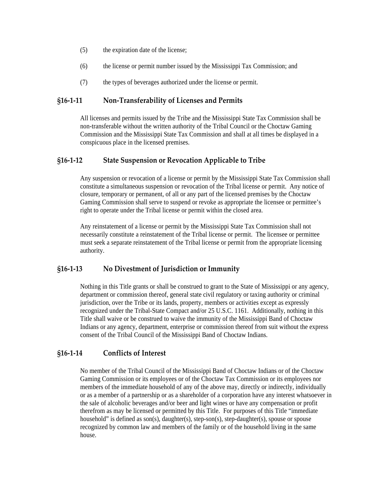- <span id="page-4-0"></span>(5) the expiration date of the license;
- (6) the license or permit number issued by the Mississippi Tax Commission; and
- (7) the types of beverages authorized under the license or permit.

#### **§16‐1‐11 Non‐Transferability of Licenses and Permits**

All licenses and permits issued by the Tribe and the Mississippi State Tax Commission shall be non-transferable without the written authority of the Tribal Council or the Choctaw Gaming Commission and the Mississippi State Tax Commission and shall at all times be displayed in a conspicuous place in the licensed premises.

#### **§16‐1‐12 State Suspension or Revocation Applicable to Tribe**

Any suspension or revocation of a license or permit by the Mississippi State Tax Commission shall constitute a simultaneous suspension or revocation of the Tribal license or permit. Any notice of closure, temporary or permanent, of all or any part of the licensed premises by the Choctaw Gaming Commission shall serve to suspend or revoke as appropriate the licensee or permittee's right to operate under the Tribal license or permit within the closed area.

Any reinstatement of a license or permit by the Mississippi State Tax Commission shall not necessarily constitute a reinstatement of the Tribal license or permit. The licensee or permittee must seek a separate reinstatement of the Tribal license or permit from the appropriate licensing authority.

#### **§16‐1‐13 No Divestment of Jurisdiction or Immunity**

Nothing in this Title grants or shall be construed to grant to the State of Mississippi or any agency, department or commission thereof, general state civil regulatory or taxing authority or criminal jurisdiction, over the Tribe or its lands, property, members or activities except as expressly recognized under the Tribal-State Compact and/or 25 U.S.C. 1161. Additionally, nothing in this Title shall waive or be construed to waive the immunity of the Mississippi Band of Choctaw Indians or any agency, department, enterprise or commission thereof from suit without the express consent of the Tribal Council of the Mississippi Band of Choctaw Indians.

#### **§16‐1‐14 Conflicts of Interest**

No member of the Tribal Council of the Mississippi Band of Choctaw Indians or of the Choctaw Gaming Commission or its employees or of the Choctaw Tax Commission or its employees nor members of the immediate household of any of the above may, directly or indirectly, individually or as a member of a partnership or as a shareholder of a corporation have any interest whatsoever in the sale of alcoholic beverages and/or beer and light wines or have any compensation or profit therefrom as may be licensed or permitted by this Title. For purposes of this Title "immediate household" is defined as son(s), daughter(s), step-son(s), step-daughter(s), spouse or spouse recognized by common law and members of the family or of the household living in the same house.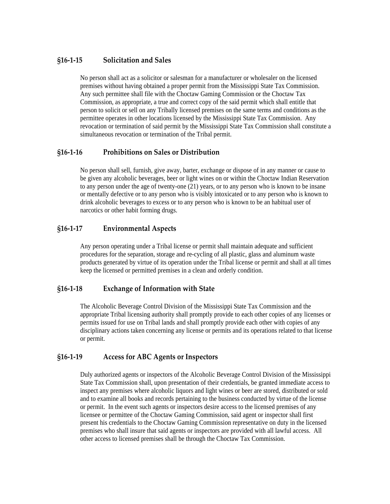## <span id="page-5-0"></span>**§16‐1‐15 Solicitation and Sales**

No person shall act as a solicitor or salesman for a manufacturer or wholesaler on the licensed premises without having obtained a proper permit from the Mississippi State Tax Commission. Any such permittee shall file with the Choctaw Gaming Commission or the Choctaw Tax Commission, as appropriate, a true and correct copy of the said permit which shall entitle that person to solicit or sell on any Tribally licensed premises on the same terms and conditions as the permittee operates in other locations licensed by the Mississippi State Tax Commission. Any revocation or termination of said permit by the Mississippi State Tax Commission shall constitute a simultaneous revocation or termination of the Tribal permit.

#### **§16‐1‐16 Prohibitions on Sales or Distribution**

No person shall sell, furnish, give away, barter, exchange or dispose of in any manner or cause to be given any alcoholic beverages, beer or light wines on or within the Choctaw Indian Reservation to any person under the age of twenty-one (21) years, or to any person who is known to be insane or mentally defective or to any person who is visibly intoxicated or to any person who is known to drink alcoholic beverages to excess or to any person who is known to be an habitual user of narcotics or other habit forming drugs.

#### **§16‐1‐17 Environmental Aspects**

Any person operating under a Tribal license or permit shall maintain adequate and sufficient procedures for the separation, storage and re-cycling of all plastic, glass and aluminum waste products generated by virtue of its operation under the Tribal license or permit and shall at all times keep the licensed or permitted premises in a clean and orderly condition.

## **§16‐1‐18 Exchange of Information with State**

The Alcoholic Beverage Control Division of the Mississippi State Tax Commission and the appropriate Tribal licensing authority shall promptly provide to each other copies of any licenses or permits issued for use on Tribal lands and shall promptly provide each other with copies of any disciplinary actions taken concerning any license or permits and its operations related to that license or permit.

## **§16‐1‐19 Access for ABC Agents or Inspectors**

Duly authorized agents or inspectors of the Alcoholic Beverage Control Division of the Mississippi State Tax Commission shall, upon presentation of their credentials, be granted immediate access to inspect any premises where alcoholic liquors and light wines or beer are stored, distributed or sold and to examine all books and records pertaining to the business conducted by virtue of the license or permit. In the event such agents or inspectors desire access to the licensed premises of any licensee or permittee of the Choctaw Gaming Commission, said agent or inspector shall first present his credentials to the Choctaw Gaming Commission representative on duty in the licensed premises who shall insure that said agents or inspectors are provided with all lawful access. All other access to licensed premises shall be through the Choctaw Tax Commission.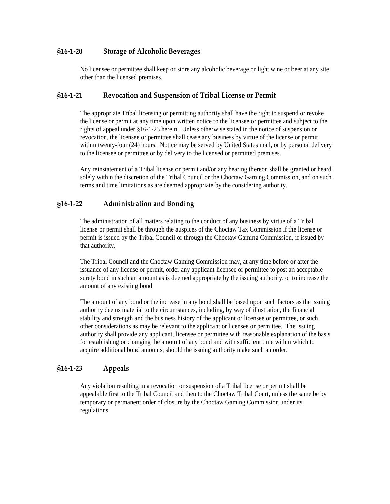## <span id="page-6-0"></span>**§16‐1‐20 Storage of Alcoholic Beverages**

No licensee or permittee shall keep or store any alcoholic beverage or light wine or beer at any site other than the licensed premises.

#### **§16‐1‐21 Revocation and Suspension of Tribal License or Permit**

The appropriate Tribal licensing or permitting authority shall have the right to suspend or revoke the license or permit at any time upon written notice to the licensee or permittee and subject to the rights of appeal under §16-1-23 herein. Unless otherwise stated in the notice of suspension or revocation, the licensee or permittee shall cease any business by virtue of the license or permit within twenty-four (24) hours. Notice may be served by United States mail, or by personal delivery to the licensee or permittee or by delivery to the licensed or permitted premises.

Any reinstatement of a Tribal license or permit and/or any hearing thereon shall be granted or heard solely within the discretion of the Tribal Council or the Choctaw Gaming Commission, and on such terms and time limitations as are deemed appropriate by the considering authority.

#### **§16‐1‐22 Administration and Bonding**

The administration of all matters relating to the conduct of any business by virtue of a Tribal license or permit shall be through the auspices of the Choctaw Tax Commission if the license or permit is issued by the Tribal Council or through the Choctaw Gaming Commission, if issued by that authority.

The Tribal Council and the Choctaw Gaming Commission may, at any time before or after the issuance of any license or permit, order any applicant licensee or permittee to post an acceptable surety bond in such an amount as is deemed appropriate by the issuing authority, or to increase the amount of any existing bond.

The amount of any bond or the increase in any bond shall be based upon such factors as the issuing authority deems material to the circumstances, including, by way of illustration, the financial stability and strength and the business history of the applicant or licensee or permittee, or such other considerations as may be relevant to the applicant or licensee or permittee. The issuing authority shall provide any applicant, licensee or permittee with reasonable explanation of the basis for establishing or changing the amount of any bond and with sufficient time within which to acquire additional bond amounts, should the issuing authority make such an order.

#### **§16‐1‐23 Appeals**

Any violation resulting in a revocation or suspension of a Tribal license or permit shall be appealable first to the Tribal Council and then to the Choctaw Tribal Court, unless the same be by temporary or permanent order of closure by the Choctaw Gaming Commission under its regulations.